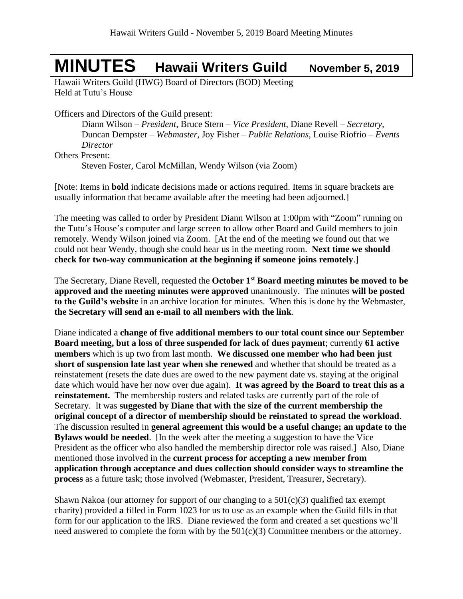## **MINUTES Hawaii Writers Guild November 5, <sup>2019</sup>**

Hawaii Writers Guild (HWG) Board of Directors (BOD) Meeting Held at Tutu's House

Officers and Directors of the Guild present:

Diann Wilson – *President*, Bruce Stern – *Vice President*, Diane Revell – *Secretary*, Duncan Dempster – *Webmaster,* Joy Fisher – *Public Relations,* Louise Riofrio – *Events Director*

Others Present:

Steven Foster, Carol McMillan, Wendy Wilson (via Zoom)

[Note: Items in **bold** indicate decisions made or actions required. Items in square brackets are usually information that became available after the meeting had been adjourned.]

The meeting was called to order by President Diann Wilson at 1:00pm with "Zoom" running on the Tutu's House's computer and large screen to allow other Board and Guild members to join remotely. Wendy Wilson joined via Zoom. [At the end of the meeting we found out that we could not hear Wendy, though she could hear us in the meeting room. **Next time we should check for two-way communication at the beginning if someone joins remotely**.]

The Secretary, Diane Revell, requested the **October 1 st Board meeting minutes be moved to be approved and the meeting minutes were approved** unanimously. The minutes **will be posted to the Guild's website** in an archive location for minutes. When this is done by the Webmaster, **the Secretary will send an e-mail to all members with the link**.

Diane indicated a **change of five additional members to our total count since our September Board meeting, but a loss of three suspended for lack of dues payment**; currently **61 active members** which is up two from last month. **We discussed one member who had been just short of suspension late last year when she renewed** and whether that should be treated as a reinstatement (resets the date dues are owed to the new payment date vs. staying at the original date which would have her now over due again). **It was agreed by the Board to treat this as a reinstatement.** The membership rosters and related tasks are currently part of the role of Secretary. It was **suggested by Diane that with the size of the current membership the original concept of a director of membership should be reinstated to spread the workload**. The discussion resulted in **general agreement this would be a useful change; an update to the Bylaws would be needed**. [In the week after the meeting a suggestion to have the Vice President as the officer who also handled the membership director role was raised.] Also, Diane mentioned those involved in the **current process for accepting a new member from application through acceptance and dues collection should consider ways to streamline the process** as a future task; those involved (Webmaster, President, Treasurer, Secretary).

Shawn Nakoa (our attorney for support of our changing to a  $501(c)(3)$  qualified tax exempt charity) provided **a** filled in Form 1023 for us to use as an example when the Guild fills in that form for our application to the IRS. Diane reviewed the form and created a set questions we'll need answered to complete the form with by the  $501(c)(3)$  Committee members or the attorney.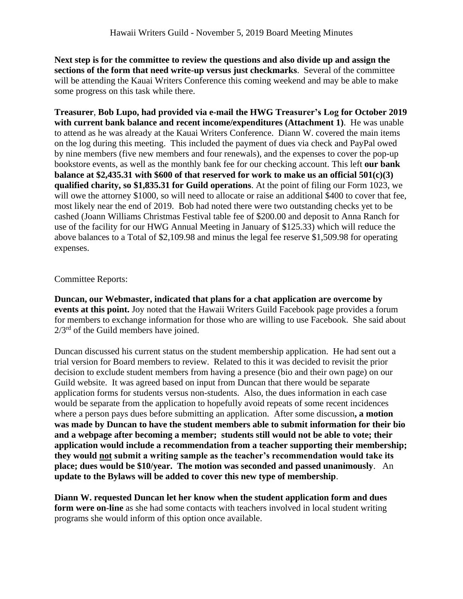**Next step is for the committee to review the questions and also divide up and assign the sections of the form that need write-up versus just checkmarks**. Several of the committee will be attending the Kauai Writers Conference this coming weekend and may be able to make some progress on this task while there.

**Treasurer**, **Bob Lupo, had provided via e-mail the HWG Treasurer's Log for October 2019 with current bank balance and recent income/expenditures (Attachment 1)**. He was unable to attend as he was already at the Kauai Writers Conference. Diann W. covered the main items on the log during this meeting. This included the payment of dues via check and PayPal owed by nine members (five new members and four renewals), and the expenses to cover the pop-up bookstore events, as well as the monthly bank fee for our checking account. This left **our bank balance at \$2,435.31 with \$600 of that reserved for work to make us an official 501(c)(3) qualified charity, so \$1,835.31 for Guild operations**. At the point of filing our Form 1023, we will owe the attorney \$1000, so will need to allocate or raise an additional \$400 to cover that fee, most likely near the end of 2019. Bob had noted there were two outstanding checks yet to be cashed (Joann Williams Christmas Festival table fee of \$200.00 and deposit to Anna Ranch for use of the facility for our HWG Annual Meeting in January of \$125.33) which will reduce the above balances to a Total of \$2,109.98 and minus the legal fee reserve \$1,509.98 for operating expenses.

## Committee Reports:

**Duncan, our Webmaster, indicated that plans for a chat application are overcome by events at this point.** Joy noted that the Hawaii Writers Guild Facebook page provides a forum for members to exchange information for those who are willing to use Facebook. She said about  $2/3<sup>rd</sup>$  of the Guild members have joined.

Duncan discussed his current status on the student membership application. He had sent out a trial version for Board members to review. Related to this it was decided to revisit the prior decision to exclude student members from having a presence (bio and their own page) on our Guild website. It was agreed based on input from Duncan that there would be separate application forms for students versus non-students. Also, the dues information in each case would be separate from the application to hopefully avoid repeats of some recent incidences where a person pays dues before submitting an application. After some discussion**, a motion was made by Duncan to have the student members able to submit information for their bio and a webpage after becoming a member; students still would not be able to vote; their application would include a recommendation from a teacher supporting their membership; they would not submit a writing sample as the teacher's recommendation would take its place; dues would be \$10/year. The motion was seconded and passed unanimously**. An **update to the Bylaws will be added to cover this new type of membership**.

**Diann W. requested Duncan let her know when the student application form and dues form were on-line** as she had some contacts with teachers involved in local student writing programs she would inform of this option once available.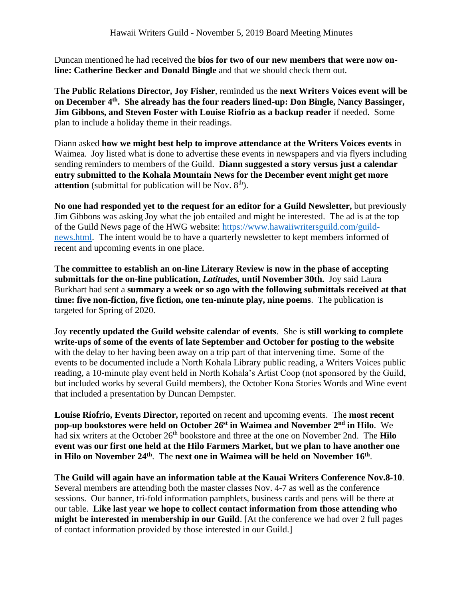Duncan mentioned he had received the **bios for two of our new members that were now online: Catherine Becker and Donald Bingle** and that we should check them out.

**The Public Relations Director, Joy Fisher**, reminded us the **next Writers Voices event will be on December 4 th . She already has the four readers lined-up: Don Bingle, Nancy Bassinger, Jim Gibbons, and Steven Foster with Louise Riofrio as a backup reader** if needed. Some plan to include a holiday theme in their readings.

Diann asked **how we might best help to improve attendance at the Writers Voices events** in Waimea. Joy listed what is done to advertise these events in newspapers and via flyers including sending reminders to members of the Guild. **Diann suggested a story versus just a calendar entry submitted to the Kohala Mountain News for the December event might get more attention** (submittal for publication will be Nov.  $8<sup>th</sup>$ ).

**No one had responded yet to the request for an editor for a Guild Newsletter,** but previously Jim Gibbons was asking Joy what the job entailed and might be interested. The ad is at the top of the Guild News page of the HWG website: [https://www.hawaiiwritersguild.com/guild](https://www.hawaiiwritersguild.com/guild-news.html)[news.html.](https://www.hawaiiwritersguild.com/guild-news.html) The intent would be to have a quarterly newsletter to kept members informed of recent and upcoming events in one place.

**The committee to establish an on-line Literary Review is now in the phase of accepting submittals for the on-line publication,** *Latitudes,* **until November 30th.** Joy said Laura Burkhart had sent a **summary a week or so ago with the following submittals received at that time: five non-fiction, five fiction, one ten-minute play, nine poems**. The publication is targeted for Spring of 2020.

Joy **recently updated the Guild website calendar of events**. She is **still working to complete write-ups of some of the events of late September and October for posting to the website** with the delay to her having been away on a trip part of that intervening time. Some of the events to be documented include a North Kohala Library public reading, a Writers Voices public reading, a 10-minute play event held in North Kohala's Artist Coop (not sponsored by the Guild, but included works by several Guild members), the October Kona Stories Words and Wine event that included a presentation by Duncan Dempster.

**Louise Riofrio, Events Director,** reported on recent and upcoming events.The **most recent pop-up bookstores were held on October 26 st in Waimea and November 2nd in Hilo**. We had six writers at the October 26<sup>th</sup> bookstore and three at the one on November 2nd. The **Hilo event was our first one held at the Hilo Farmers Market, but we plan to have another one in Hilo on November 24th** . The **next one in Waimea will be held on November 16th** .

**The Guild will again have an information table at the Kauai Writers Conference Nov.8-10**. Several members are attending both the master classes Nov. 4-7 as well as the conference sessions. Our banner, tri-fold information pamphlets, business cards and pens will be there at our table. **Like last year we hope to collect contact information from those attending who might be interested in membership in our Guild**. [At the conference we had over 2 full pages of contact information provided by those interested in our Guild.]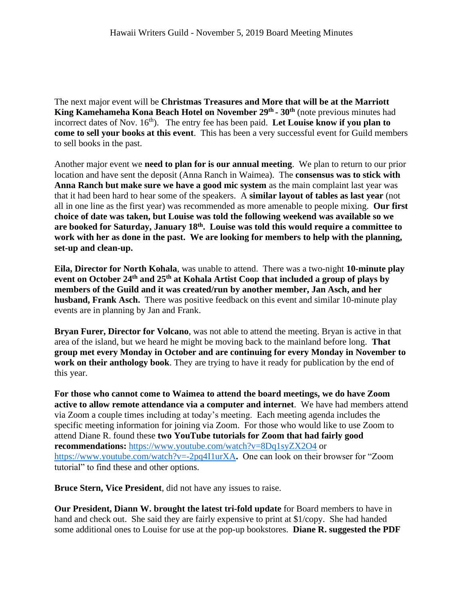The next major event will be **Christmas Treasures and More that will be at the Marriott King Kamehameha Kona Beach Hotel on November 29th - 30th** (note previous minutes had incorrect dates of Nov. 16<sup>th</sup>). The entry fee has been paid. Let Louise know if you plan to **come to sell your books at this event**. This has been a very successful event for Guild members to sell books in the past.

Another major event we **need to plan for is our annual meeting**. We plan to return to our prior location and have sent the deposit (Anna Ranch in Waimea). The **consensus was to stick with Anna Ranch but make sure we have a good mic system** as the main complaint last year was that it had been hard to hear some of the speakers. A **similar layout of tables as last year** (not all in one line as the first year) was recommended as more amenable to people mixing. **Our first choice of date was taken, but Louise was told the following weekend was available so we are booked for Saturday, January 18 th . Louise was told this would require a committee to work with her as done in the past. We are looking for members to help with the planning, set-up and clean-up.**

**Eila, Director for North Kohala**, was unable to attend. There was a two-night **10-minute play event on October 24th and 25th at Kohala Artist Coop that included a group of plays by members of the Guild and it was created/run by another member, Jan Asch, and her husband, Frank Asch.** There was positive feedback on this event and similar 10-minute play events are in planning by Jan and Frank.

**Bryan Furer, Director for Volcano**, was not able to attend the meeting. Bryan is active in that area of the island, but we heard he might be moving back to the mainland before long. **That group met every Monday in October and are continuing for every Monday in November to work on their anthology book**. They are trying to have it ready for publication by the end of this year.

**For those who cannot come to Waimea to attend the board meetings, we do have Zoom active to allow remote attendance via a computer and internet**. We have had members attend via Zoom a couple times including at today's meeting. Each meeting agenda includes the specific meeting information for joining via Zoom. For those who would like to use Zoom to attend Diane R. found these **two YouTube tutorials for Zoom that had fairly good recommendations:** <https://www.youtube.com/watch?v=8Dq1syZX2O4> or <https://www.youtube.com/watch?v=-2pq4I1urXA>**.** One can look on their browser for "Zoom tutorial" to find these and other options.

**Bruce Stern, Vice President**, did not have any issues to raise.

**Our President, Diann W. brought the latest tri-fold update** for Board members to have in hand and check out. She said they are fairly expensive to print at \$1/copy. She had handed some additional ones to Louise for use at the pop-up bookstores. **Diane R. suggested the PDF**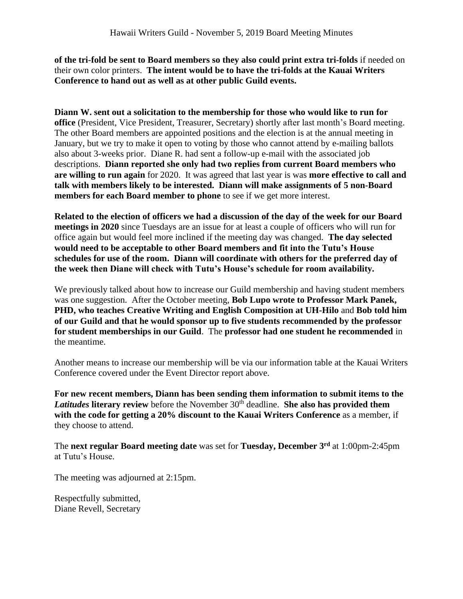**of the tri-fold be sent to Board members so they also could print extra tri-folds** if needed on their own color printers. **The intent would be to have the tri-folds at the Kauai Writers Conference to hand out as well as at other public Guild events.**

**Diann W. sent out a solicitation to the membership for those who would like to run for office** (President, Vice President, Treasurer, Secretary) shortly after last month's Board meeting. The other Board members are appointed positions and the election is at the annual meeting in January, but we try to make it open to voting by those who cannot attend by e-mailing ballots also about 3-weeks prior. Diane R. had sent a follow-up e-mail with the associated job descriptions. **Diann reported she only had two replies from current Board members who are willing to run again** for 2020. It was agreed that last year is was **more effective to call and talk with members likely to be interested. Diann will make assignments of 5 non-Board members for each Board member to phone** to see if we get more interest.

**Related to the election of officers we had a discussion of the day of the week for our Board meetings in 2020** since Tuesdays are an issue for at least a couple of officers who will run for office again but would feel more inclined if the meeting day was changed. **The day selected would need to be acceptable to other Board members and fit into the Tutu's House schedules for use of the room. Diann will coordinate with others for the preferred day of the week then Diane will check with Tutu's House's schedule for room availability.**

We previously talked about how to increase our Guild membership and having student members was one suggestion. After the October meeting, **Bob Lupo wrote to Professor Mark Panek, PHD, who teaches Creative Writing and English Composition at UH-Hilo** and **Bob told him of our Guild and that he would sponsor up to five students recommended by the professor for student memberships in our Guild**. The **professor had one student he recommended** in the meantime.

Another means to increase our membership will be via our information table at the Kauai Writers Conference covered under the Event Director report above.

**For new recent members, Diann has been sending them information to submit items to the**  *Latitudes* **literary review** before the November 30<sup>th</sup> deadline. **She also has provided them with the code for getting a 20% discount to the Kauai Writers Conference** as a member, if they choose to attend.

The **next regular Board meeting date** was set for **Tuesday, December 3 rd** at 1:00pm-2:45pm at Tutu's House.

The meeting was adjourned at 2:15pm.

Respectfully submitted, Diane Revell, Secretary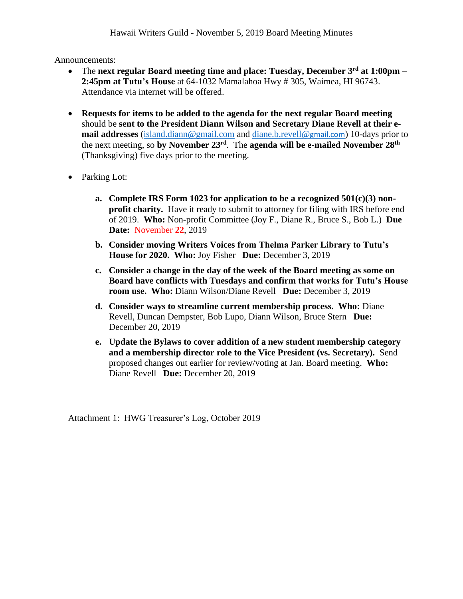Announcements:

- The **next regular Board meeting time and place: Tuesday, December 3 rd at 1:00pm – 2:45pm at Tutu's House** at 64-1032 Mamalahoa Hwy # 305, Waimea, HI 96743. Attendance via internet will be offered.
- **Requests for items to be added to the agenda for the next regular Board meeting** should be **sent to the President Diann Wilson and Secretary Diane Revell at their email addresses** [\(island.diann@gmail.com](mailto:island.diann@gmail.com) and [diane.b.revell@](mailto:diane.b.revell@gmail.com)gmail.com) 10-days prior to the next meeting, so **by November 23 rd** . The **agenda will be e-mailed November 28th** (Thanksgiving) five days prior to the meeting.
- Parking Lot:
	- **a. Complete IRS Form 1023 for application to be a recognized 501(c)(3) nonprofit charity.** Have it ready to submit to attorney for filing with IRS before end of 2019. **Who:** Non-profit Committee (Joy F., Diane R., Bruce S., Bob L.) **Due Date:** November **22**, 2019
	- **b. Consider moving Writers Voices from Thelma Parker Library to Tutu's House for 2020. Who:** Joy Fisher **Due:** December 3, 2019
	- **c. Consider a change in the day of the week of the Board meeting as some on Board have conflicts with Tuesdays and confirm that works for Tutu's House room use. Who:** Diann Wilson/Diane Revell **Due:** December 3, 2019
	- **d. Consider ways to streamline current membership process. Who:** Diane Revell, Duncan Dempster, Bob Lupo, Diann Wilson, Bruce Stern **Due:**  December 20, 2019
	- **e. Update the Bylaws to cover addition of a new student membership category and a membership director role to the Vice President (vs. Secretary).** Send proposed changes out earlier for review/voting at Jan. Board meeting. **Who:**  Diane Revell **Due:** December 20, 2019

Attachment 1: HWG Treasurer's Log, October 2019